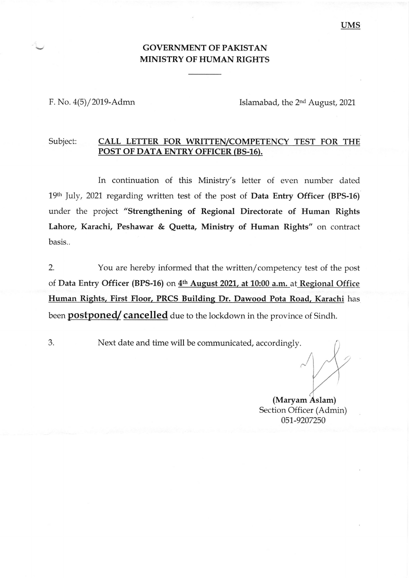## GOVERNMENT OF PAKISTAN MINISTRY OF HUMAN RIGHTS

F. No. 4(5)/2019-Admn

Islamabad, the 2nd August,2021

## Subject: CALL LETTER FOR WRITTEN/COMPETENCY TEST FOR THE POST OF DATA ENTRY OFFICER (BS-16).

In continuation of this Ministry's letter of even number dated 19th July, 2021 regarding written test of the post of Data Entry Officer (BPS-16) under the project "Strengthening of Regional Directorate of Human Rights Lahore, Karachi, Peshawar & Quetta, Ministry of Human Rights" on contract basis..

2. You are hereby informed that the written/competency test of the post of Data Entry Officer (BPS-15) on 4th August 2021, at 10:00 a.m. at Begional Office Human Rights, First Floor, PRCS Building Dr. Dawood Pota Road, Karachi has been **postponed/** cancelled due to the lockdown in the province of Sindh.

Next date and time will be communicated, accordingly. J

(Maryam Section Officer (Admin) 051-9207250